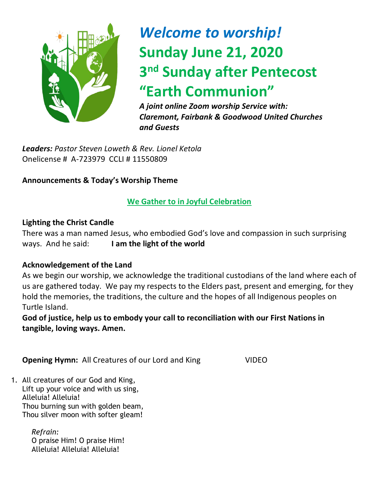

# *Welcome to worship!* **Sunday June 21, 2020 3 nd Sunday after Pentecost "Earth Communion"**

*A joint online Zoom worship Service with: Claremont, Fairbank & Goodwood United Churches and Guests*

*Leaders: Pastor Steven Loweth & Rev. Lionel Ketola* Onelicense # A-723979 CCLI # 11550809

#### **Announcements & Today's Worship Theme**

#### **We Gather to in Joyful Celebration**

#### **Lighting the Christ Candle**

There was a man named Jesus, who embodied God's love and compassion in such surprising ways. And he said: **I am the light of the world** 

#### **Acknowledgement of the Land**

As we begin our worship, we acknowledge the traditional custodians of the land where each of us are gathered today. We pay my respects to the Elders past, present and emerging, for they hold the memories, the traditions, the culture and the hopes of all Indigenous peoples on Turtle Island.

**God of justice, help us to embody your call to reconciliation with our First Nations in tangible, loving ways. Amen.** 

**Opening Hymn:** All Creatures of our Lord and King VIDEO

1. All creatures of our God and King, Lift up your voice and with us sing, Alleluia! Alleluia! Thou burning sun with golden beam, Thou silver moon with softer gleam!

> *Refrain:* O praise Him! O praise Him! Alleluia! Alleluia! Alleluia!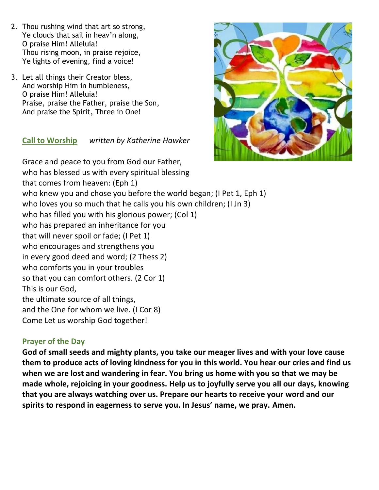- 2. Thou rushing wind that art so strong, Ye clouds that sail in heav'n along, O praise Him! Alleluia! Thou rising moon, in praise rejoice, Ye lights of evening, find a voice!
- 3. Let all things their Creator bless, And worship Him in humbleness, O praise Him! Alleluia! Praise, praise the Father, praise the Son, And praise the Spirit, Three in One!

#### **Call to Worship** *written by Katherine Hawker*



Grace and peace to you from God our Father, who has blessed us with every spiritual blessing that comes from heaven: (Eph 1) who knew you and chose you before the world began; (I Pet 1, Eph 1) who loves you so much that he calls you his own children; (I Jn 3) who has filled you with his glorious power; (Col 1) who has prepared an inheritance for you that will never spoil or fade; (I Pet 1) who encourages and strengthens you in every good deed and word; (2 Thess 2) who comforts you in your troubles so that you can comfort others. (2 Cor 1) This is our God, the ultimate source of all things, and the One for whom we live. (I Cor 8) Come Let us worship God together!

#### **Prayer of the Day**

**God of small seeds and mighty plants, you take our meager lives and with your love cause them to produce acts of loving kindness for you in this world. You hear our cries and find us when we are lost and wandering in fear. You bring us home with you so that we may be made whole, rejoicing in your goodness. Help us to joyfully serve you all our days, knowing that you are always watching over us. Prepare our hearts to receive your word and our spirits to respond in eagerness to serve you. In Jesus' name, we pray. Amen.**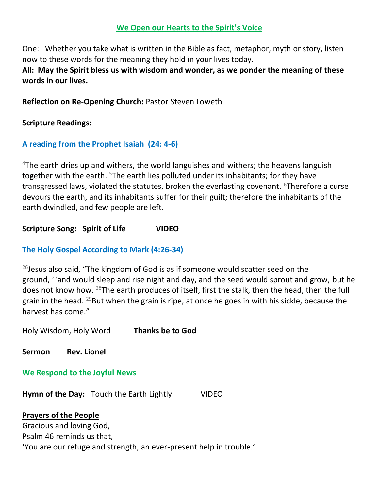#### **We Open our Hearts to the Spirit's Voice**

One: Whether you take what is written in the Bible as fact, metaphor, myth or story, listen now to these words for the meaning they hold in your lives today.

**All: May the Spirit bless us with wisdom and wonder, as we ponder the meaning of these words in our lives.**

**Reflection on Re-Opening Church:** Pastor Steven Loweth

#### **Scripture Readings:**

#### **A reading from the Prophet Isaiah (24: 4-6)**

 $4$ The earth dries up and withers, the world languishes and withers; the heavens languish together with the earth. <sup>5</sup>The earth lies polluted under its inhabitants; for they have transgressed laws, violated the statutes, broken the everlasting covenant. <sup>6</sup>Therefore a curse devours the earth, and its inhabitants suffer for their guilt; therefore the inhabitants of the earth dwindled, and few people are left.

**Scripture Song: Spirit of Life VIDEO** 

#### **The Holy Gospel According to Mark (4:26-34)**

 $^{26}$ Jesus also said, "The kingdom of God is as if someone would scatter seed on the ground,  $27$  and would sleep and rise night and day, and the seed would sprout and grow, but he does not know how. <sup>28</sup>The earth produces of itself, first the stalk, then the head, then the full grain in the head.  $^{29}$ But when the grain is ripe, at once he goes in with his sickle, because the harvest has come."

Holy Wisdom, Holy Word **Thanks be to God** 

**Sermon Rev. Lionel** 

#### **We Respond to the Joyful News**

**Hymn of the Day:** Touch the Earth Lightly VIDEO

#### **Prayers of the People**

Gracious and loving God, Psalm 46 reminds us that, 'You are our refuge and strength, an ever-present help in trouble.'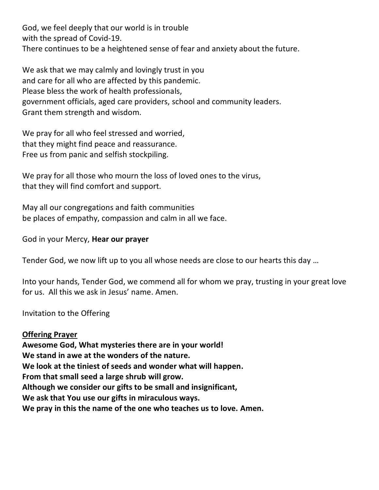God, we feel deeply that our world is in trouble with the spread of Covid-19. There continues to be a heightened sense of fear and anxiety about the future.

We ask that we may calmly and lovingly trust in you and care for all who are affected by this pandemic. Please bless the work of health professionals, government officials, aged care providers, school and community leaders. Grant them strength and wisdom.

We pray for all who feel stressed and worried, that they might find peace and reassurance. Free us from panic and selfish stockpiling.

We pray for all those who mourn the loss of loved ones to the virus, that they will find comfort and support.

May all our congregations and faith communities be places of empathy, compassion and calm in all we face.

God in your Mercy, **Hear our prayer**

Tender God, we now lift up to you all whose needs are close to our hearts this day …

Into your hands, Tender God, we commend all for whom we pray, trusting in your great love for us. All this we ask in Jesus' name. Amen.

Invitation to the Offering

**Offering Prayer Awesome God, What mysteries there are in your world! We stand in awe at the wonders of the nature. We look at the tiniest of seeds and wonder what will happen. From that small seed a large shrub will grow. Although we consider our gifts to be small and insignificant, We ask that You use our gifts in miraculous ways. We pray in this the name of the one who teaches us to love. Amen.**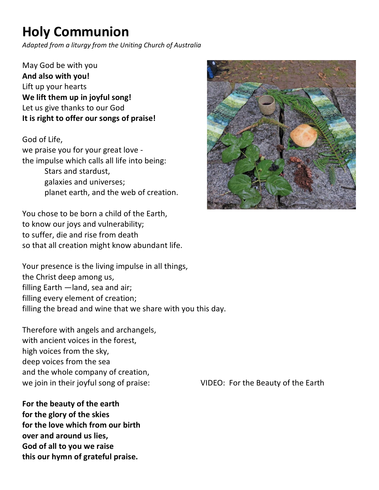## **Holy Communion**

*Adapted from a liturgy from the Uniting Church of Australia*

May God be with you **And also with you!**  Lift up your hearts **We lift them up in joyful song!**  Let us give thanks to our God **It is right to offer our songs of praise!** 

God of Life, we praise you for your great love the impulse which calls all life into being: Stars and stardust, galaxies and universes; planet earth, and the web of creation.

You chose to be born a child of the Earth, to know our joys and vulnerability; to suffer, die and rise from death so that all creation might know abundant life.

Your presence is the living impulse in all things, the Christ deep among us, filling Earth —land, sea and air; filling every element of creation; filling the bread and wine that we share with you this day.

Therefore with angels and archangels, with ancient voices in the forest, high voices from the sky, deep voices from the sea and the whole company of creation, we join in their joyful song of praise: VIDEO: For the Beauty of the Earth

**For the beauty of the earth for the glory of the skies for the love which from our birth over and around us lies, God of all to you we raise this our hymn of grateful praise.** 

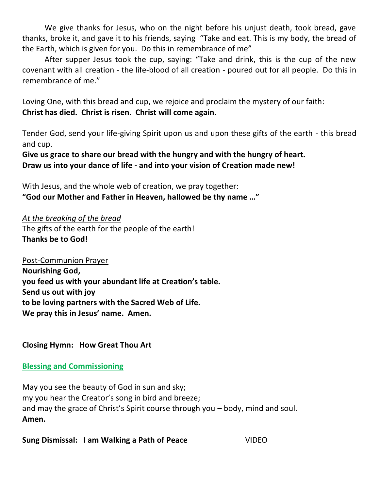We give thanks for Jesus, who on the night before his unjust death, took bread, gave thanks, broke it, and gave it to his friends, saying "Take and eat. This is my body, the bread of the Earth, which is given for you. Do this in remembrance of me"

After supper Jesus took the cup, saying: "Take and drink, this is the cup of the new covenant with all creation - the life-blood of all creation - poured out for all people. Do this in remembrance of me."

Loving One, with this bread and cup, we rejoice and proclaim the mystery of our faith: **Christ has died. Christ is risen. Christ will come again.**

Tender God, send your life-giving Spirit upon us and upon these gifts of the earth - this bread and cup.

**Give us grace to share our bread with the hungry and with the hungry of heart. Draw us into your dance of life - and into your vision of Creation made new!** 

With Jesus, and the whole web of creation, we pray together: **"God our Mother and Father in Heaven, hallowed be thy name …"** 

*At the breaking of the bread*  The gifts of the earth for the people of the earth! **Thanks be to God!** 

Post-Communion Prayer **Nourishing God, you feed us with your abundant life at Creation's table. Send us out with joy to be loving partners with the Sacred Web of Life. We pray this in Jesus' name. Amen.** 

#### **Closing Hymn: How Great Thou Art**

#### **Blessing and Commissioning**

May you see the beauty of God in sun and sky; my you hear the Creator's song in bird and breeze; and may the grace of Christ's Spirit course through you – body, mind and soul. **Amen.** 

**Sung Dismissal: I am Walking a Path of Peace** VIDEO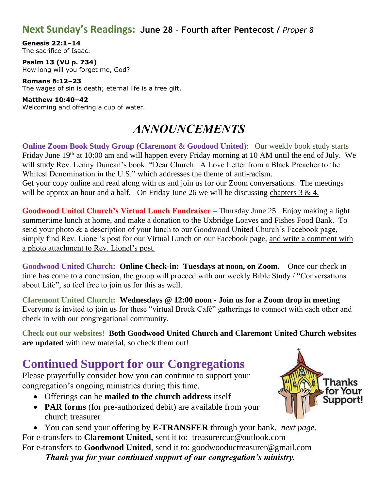#### **Next Sunday's Readings: June 28 – Fourth after Pentecost /** *Proper 8*

**Genesis 22:1–14** The sacrifice of Isaac.

**Psalm 13 (VU p. 734)** How long will you forget me, God?

**Romans 6:12–23** The wages of sin is death; eternal life is a free gift.

**Matthew 10:40–42** Welcoming and offering a cup of water.

### *ANNOUNCEMENTS*

**Online Zoom Book Study Group (Claremont & Goodood United):** Our weekly book study starts Friday June 19<sup>th</sup> at 10:00 am and will happen every Friday morning at 10 AM until the end of July. We will study Rev. Lenny Duncan's book: "Dear Church: A Love Letter from a Black Preacher to the Whitest Denomination in the U.S." which addresses the theme of anti-racism. Get your copy online and read along with us and join us for our Zoom conversations. The meetings will be approx an hour and a half. On Friday June 26 we will be discussing chapters  $3 \& 4$ .

**Goodwood United Church's Virtual Lunch Fundraiser** – Thursday June 25. Enjoy making a light summertime lunch at home, and make a donation to the Uxbridge Loaves and Fishes Food Bank. To send your photo & a description of your lunch to our Goodwood United Church's Facebook page, simply find Rev. Lionel's post for our Virtual Lunch on our Facebook page, and write a comment with a photo attachment to Rev. Lionel's post.

**Goodwood United Church: Online Check-in: Tuesdays at noon, on Zoom.** Once our check in time has come to a conclusion, the group will proceed with our weekly Bible Study / "Conversations about Life", so feel free to join us for this as well.

**Claremont United Church: Wednesdays @ 12:00 noon - Join us for a Zoom drop in meeting**  Everyone is invited to join us for these "virtual Brock Café" gatherings to connect with each other and check in with our congregational community.

**Check out our websites! Both Goodwood United Church and Claremont United Church websites are updated** with new material, so check them out!

### **Continued Support for our Congregations**

Please prayerfully consider how you can continue to support your congregation's ongoing ministries during this time.

- Offerings can be **mailed to the church address** itself
- **PAR forms** (for pre-authorized debit) are available from your church treasurer
- You can send your offering by **E-TRANSFER** through your bank. *next page.* For e-transfers to **Claremont United,** sent it to: treasurercuc@outlook.com For e-transfers to **Goodwood United**, send it to: [goodwooductreasurer@gmail.com](mailto:goodwooductreasurer@gmail.com) *Thank you for your continued support of our congregation's ministry.*